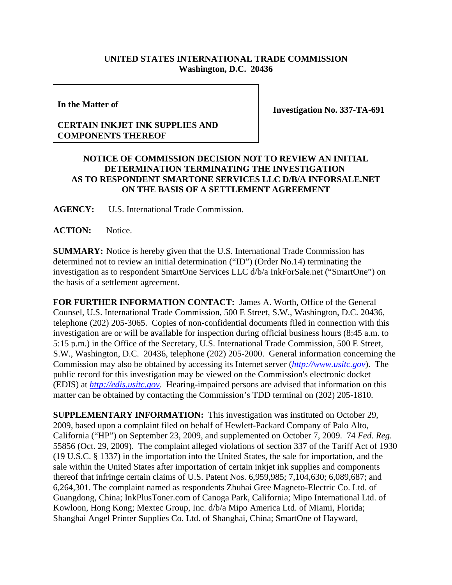## **UNITED STATES INTERNATIONAL TRADE COMMISSION Washington, D.C. 20436**

**In the Matter of**

## **CERTAIN INKJET INK SUPPLIES AND COMPONENTS THEREOF**

**Investigation No. 337-TA-691**

## **NOTICE OF COMMISSION DECISION NOT TO REVIEW AN INITIAL DETERMINATION TERMINATING THE INVESTIGATION AS TO RESPONDENT SMARTONE SERVICES LLC D/B/A INFORSALE.NET ON THE BASIS OF A SETTLEMENT AGREEMENT**

**AGENCY:** U.S. International Trade Commission.

**ACTION:** Notice.

**SUMMARY:** Notice is hereby given that the U.S. International Trade Commission has determined not to review an initial determination ("ID") (Order No.14) terminating the investigation as to respondent SmartOne Services LLC d/b/a InkForSale.net ("SmartOne") on the basis of a settlement agreement.

**FOR FURTHER INFORMATION CONTACT:** James A. Worth, Office of the General Counsel, U.S. International Trade Commission, 500 E Street, S.W., Washington, D.C. 20436, telephone (202) 205-3065. Copies of non-confidential documents filed in connection with this investigation are or will be available for inspection during official business hours (8:45 a.m. to 5:15 p.m.) in the Office of the Secretary, U.S. International Trade Commission, 500 E Street, S.W., Washington, D.C. 20436, telephone (202) 205-2000. General information concerning the Commission may also be obtained by accessing its Internet server (*http://www.usitc.gov*). The public record for this investigation may be viewed on the Commission's electronic docket (EDIS) at *http://edis.usitc.gov*. Hearing-impaired persons are advised that information on this matter can be obtained by contacting the Commission's TDD terminal on (202) 205-1810.

**SUPPLEMENTARY INFORMATION:** This investigation was instituted on October 29, 2009, based upon a complaint filed on behalf of Hewlett-Packard Company of Palo Alto, California ("HP") on September 23, 2009, and supplemented on October 7, 2009. 74 *Fed. Reg*. 55856 (Oct. 29, 2009). The complaint alleged violations of section 337 of the Tariff Act of 1930 (19 U.S.C. § 1337) in the importation into the United States, the sale for importation, and the sale within the United States after importation of certain inkjet ink supplies and components thereof that infringe certain claims of U.S. Patent Nos. 6,959,985; 7,104,630; 6,089,687; and 6,264,301. The complaint named as respondents Zhuhai Gree Magneto-Electric Co. Ltd. of Guangdong, China; InkPlusToner.com of Canoga Park, California; Mipo International Ltd. of Kowloon, Hong Kong; Mextec Group, Inc. d/b/a Mipo America Ltd. of Miami, Florida; Shanghai Angel Printer Supplies Co. Ltd. of Shanghai, China; SmartOne of Hayward,